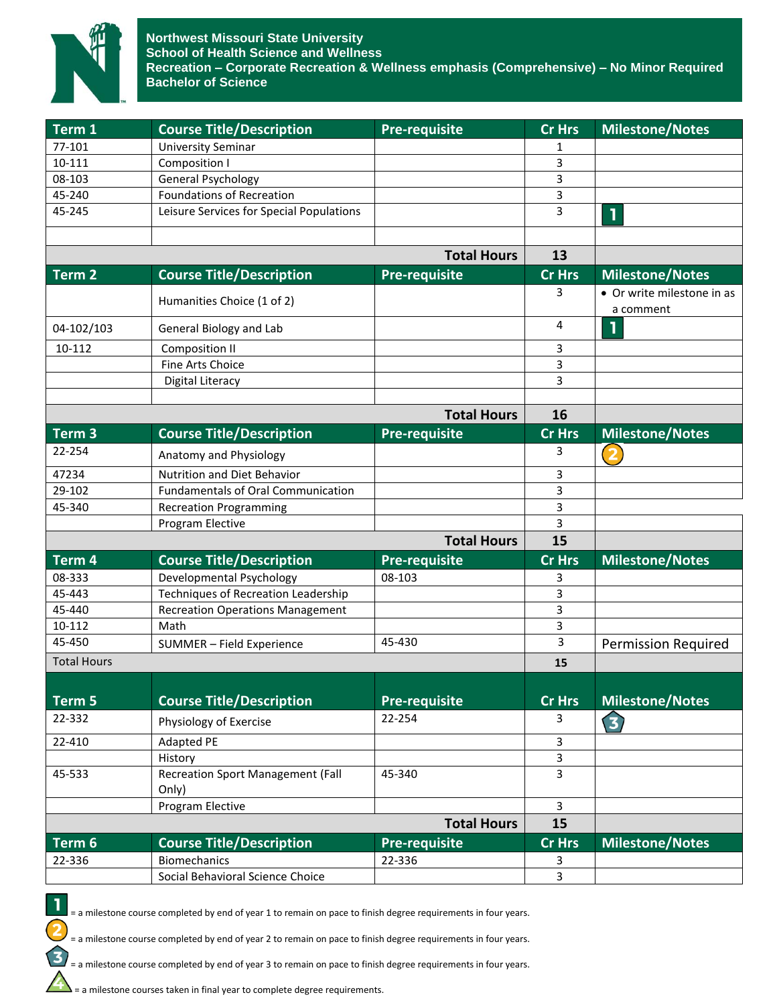

| Term 1             | <b>Course Title/Description</b>                   | <b>Pre-requisite</b> | <b>Cr Hrs</b>  | <b>Milestone/Notes</b>                  |
|--------------------|---------------------------------------------------|----------------------|----------------|-----------------------------------------|
| 77-101             | <b>University Seminar</b>                         |                      | 1              |                                         |
| 10-111             | Composition I                                     |                      | 3              |                                         |
| 08-103             | <b>General Psychology</b>                         |                      | 3              |                                         |
| 45-240             | <b>Foundations of Recreation</b>                  |                      | 3              |                                         |
| 45-245             | Leisure Services for Special Populations          |                      | 3              | T                                       |
|                    |                                                   |                      |                |                                         |
|                    |                                                   | <b>Total Hours</b>   | 13             |                                         |
| Term <sub>2</sub>  | <b>Course Title/Description</b>                   | Pre-requisite        | <b>Cr Hrs</b>  | <b>Milestone/Notes</b>                  |
|                    | Humanities Choice (1 of 2)                        |                      | 3              | • Or write milestone in as<br>a comment |
| 04-102/103         | General Biology and Lab                           |                      | 4              | 1                                       |
| 10-112             | <b>Composition II</b>                             |                      | 3              |                                         |
|                    | Fine Arts Choice                                  |                      | 3              |                                         |
|                    | Digital Literacy                                  |                      | 3              |                                         |
|                    |                                                   | <b>Total Hours</b>   | 16             |                                         |
| Term <sub>3</sub>  | <b>Course Title/Description</b>                   | <b>Pre-requisite</b> | <b>Cr Hrs</b>  | <b>Milestone/Notes</b>                  |
| 22-254             | Anatomy and Physiology                            |                      | 3              | $\overline{\mathbf{2}}$                 |
| 47234              | Nutrition and Diet Behavior                       |                      | 3              |                                         |
| 29-102             | <b>Fundamentals of Oral Communication</b>         |                      | 3              |                                         |
| 45-340             | <b>Recreation Programming</b>                     |                      | 3              |                                         |
|                    | Program Elective                                  |                      | 3              |                                         |
|                    |                                                   | <b>Total Hours</b>   | 15             |                                         |
| Term 4             | <b>Course Title/Description</b>                   | Pre-requisite        | <b>Cr Hrs</b>  | <b>Milestone/Notes</b>                  |
| 08-333             | Developmental Psychology                          | 08-103               | 3              |                                         |
| 45-443             | <b>Techniques of Recreation Leadership</b>        |                      | 3              |                                         |
| 45-440             | <b>Recreation Operations Management</b>           |                      | 3              |                                         |
| 10-112             | Math                                              |                      | 3              |                                         |
| 45-450             | SUMMER - Field Experience                         | 45-430               | 3              | <b>Permission Required</b>              |
| <b>Total Hours</b> |                                                   |                      | 15             |                                         |
|                    | <b>Course Title/Description</b>                   |                      | <b>Cr Hrs</b>  |                                         |
| Term 5             |                                                   | <b>Pre-requisite</b> |                | <b>Milestone/Notes</b>                  |
| 22-332             | Physiology of Exercise                            | 22-254               | 3              | 3                                       |
| 22-410             | <b>Adapted PE</b>                                 |                      | 3              |                                         |
|                    | History                                           |                      | 3              |                                         |
| 45-533             | <b>Recreation Sport Management (Fall</b><br>Only) | 45-340               | 3              |                                         |
|                    | Program Elective                                  |                      | $\overline{3}$ |                                         |
|                    |                                                   | <b>Total Hours</b>   | 15             |                                         |
| Term 6             | <b>Course Title/Description</b>                   | Pre-requisite        | <b>Cr Hrs</b>  | Milestone/Notes                         |
| 22-336             | <b>Biomechanics</b>                               | 22-336               | 3              |                                         |
|                    | Social Behavioral Science Choice                  |                      | 3              |                                         |

= a milestone course completed by end of year 1 to remain on pace to finish degree requirements in four years.

= a milestone course completed by end of year 2 to remain on pace to finish degree requirements in four years.

= a milestone course completed by end of year 3 to remain on pace to finish degree requirements in four years.

= a milestone courses taken in final year to complete degree requirements.

1

 $\overline{\mathbf{2}}$ 

 $\mathbf{E}$